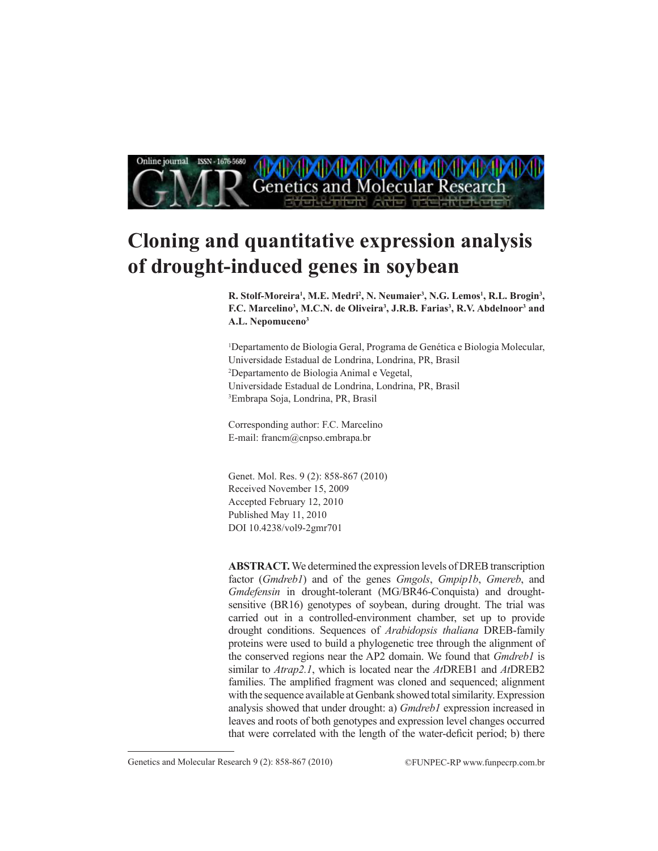

# **Cloning and quantitative expression analysis of drought-induced genes in soybean**

R. Stolf-Moreira<sup>1</sup>, M.E. Medri<sup>2</sup>, N. Neumaier<sup>3</sup>, N.G. Lemos<sup>1</sup>, R.L. Brogin<sup>3</sup>, F.C. Marcelino<sup>3</sup>, M.C.N. de Oliveira<sup>3</sup>, J.R.B. Farias<sup>3</sup>, R.V. Abdelnoor<sup>3</sup> and **A.L. Nepomuceno3**

1 Departamento de Biologia Geral, Programa de Genética e Biologia Molecular, Universidade Estadual de Londrina, Londrina, PR, Brasil 2 Departamento de Biologia Animal e Vegetal, Universidade Estadual de Londrina, Londrina, PR, Brasil 3 Embrapa Soja, Londrina, PR, Brasil

Corresponding author: F.C. Marcelino E-mail: francm@cnpso.embrapa.br

Genet. Mol. Res. 9 (2): 858-867 (2010) Received November 15, 2009 Accepted February 12, 2010 Published May 11, 2010 DOI 10.4238/vol9-2gmr701

**ABSTRACT.** We determined the expression levels of DREB transcription factor (*Gmdreb1*) and of the genes *Gmgols*, *Gmpip1b*, *Gmereb*, and *Gmdefensin* in drought-tolerant (MG/BR46-Conquista) and droughtsensitive (BR16) genotypes of soybean, during drought. The trial was carried out in a controlled-environment chamber, set up to provide drought conditions. Sequences of *Arabidopsis thaliana* DREB-family proteins were used to build a phylogenetic tree through the alignment of the conserved regions near the AP2 domain. We found that *Gmdreb1* is similar to *Atrap2.1*, which is located near the *At*DREB1 and *At*DREB2 families. The amplified fragment was cloned and sequenced; alignment with the sequence available at Genbank showed total similarity. Expression analysis showed that under drought: a) *Gmdreb1* expression increased in leaves and roots of both genotypes and expression level changes occurred that were correlated with the length of the water-deficit period; b) there

Genetics and Molecular Research 9 (2): 858-867 (2010) ©FUNPEC-RP www.funpecrp.com.br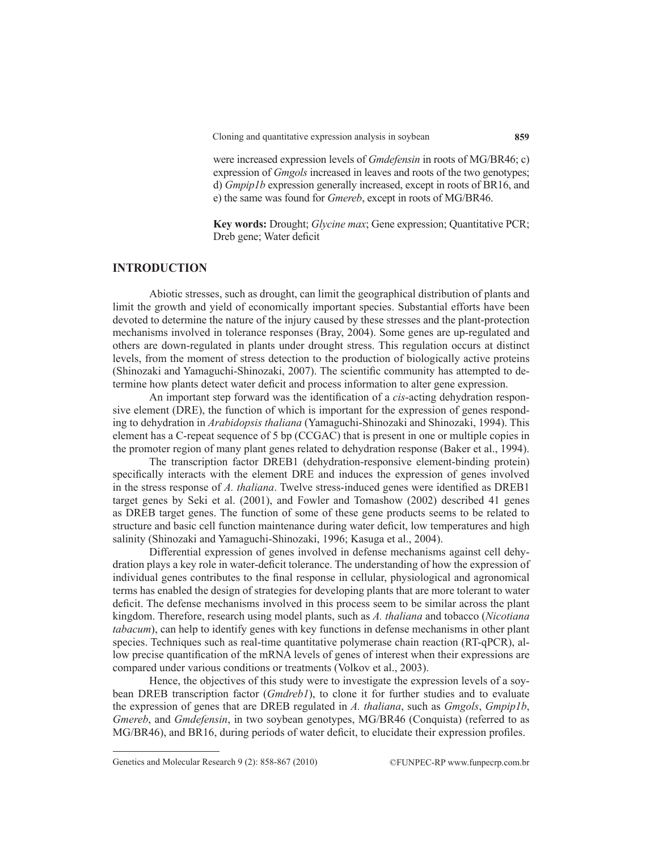Cloning and quantitative expression analysis in soybean

were increased expression levels of *Gmdefensin* in roots of MG/BR46; c) expression of *Gmgols* increased in leaves and roots of the two genotypes; d) *Gmpip1b* expression generally increased, except in roots of BR16, and e) the same was found for *Gmereb*, except in roots of MG/BR46.

**Key words:** Drought; *Glycine max*; Gene expression; Quantitative PCR; Dreb gene; Water deficit

# **INTRODUCTION**

Abiotic stresses, such as drought, can limit the geographical distribution of plants and limit the growth and yield of economically important species. Substantial efforts have been devoted to determine the nature of the injury caused by these stresses and the plant-protection mechanisms involved in tolerance responses (Bray, 2004). Some genes are up-regulated and others are down-regulated in plants under drought stress. This regulation occurs at distinct levels, from the moment of stress detection to the production of biologically active proteins (Shinozaki and Yamaguchi-Shinozaki, 2007). The scientific community has attempted to determine how plants detect water deficit and process information to alter gene expression.

An important step forward was the identification of a *cis*-acting dehydration responsive element (DRE), the function of which is important for the expression of genes responding to dehydration in *Arabidopsis thaliana* (Yamaguchi-Shinozaki and Shinozaki, 1994). This element has a C-repeat sequence of 5 bp (CCGAC) that is present in one or multiple copies in the promoter region of many plant genes related to dehydration response (Baker et al., 1994).

The transcription factor DREB1 (dehydration-responsive element-binding protein) specifically interacts with the element DRE and induces the expression of genes involved in the stress response of *A. thaliana*. Twelve stress-induced genes were identified as DREB1 target genes by Seki et al. (2001), and Fowler and Tomashow (2002) described 41 genes as DREB target genes. The function of some of these gene products seems to be related to structure and basic cell function maintenance during water deficit, low temperatures and high salinity (Shinozaki and Yamaguchi-Shinozaki, 1996; Kasuga et al., 2004).

Differential expression of genes involved in defense mechanisms against cell dehydration plays a key role in water-deficit tolerance. The understanding of how the expression of individual genes contributes to the final response in cellular, physiological and agronomical terms has enabled the design of strategies for developing plants that are more tolerant to water deficit. The defense mechanisms involved in this process seem to be similar across the plant kingdom. Therefore, research using model plants, such as *A. thaliana* and tobacco (*Nicotiana tabacum*), can help to identify genes with key functions in defense mechanisms in other plant species. Techniques such as real-time quantitative polymerase chain reaction (RT-qPCR), allow precise quantification of the mRNA levels of genes of interest when their expressions are compared under various conditions or treatments (Volkov et al., 2003).

Hence, the objectives of this study were to investigate the expression levels of a soybean DREB transcription factor (*Gmdreb1*), to clone it for further studies and to evaluate the expression of genes that are DREB regulated in *A. thaliana*, such as *Gmgols*, *Gmpip1b*, *Gmereb*, and *Gmdefensin*, in two soybean genotypes, MG/BR46 (Conquista) (referred to as MG/BR46), and BR16, during periods of water deficit, to elucidate their expression profiles.

Genetics and Molecular Research 9 (2): 858-867 (2010) ©FUNPEC-RP www.funpecrp.com.br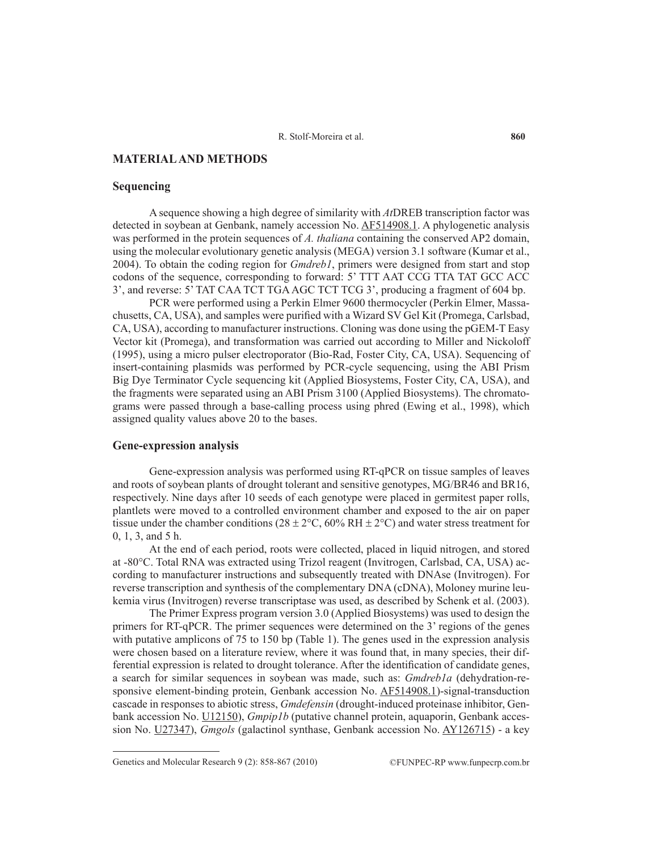# **MATERIAL AND METHODS**

## **Sequencing**

A sequence showing a high degree of similarity with *At*DREB transcription factor was detected in soybean at Genbank, namely accession No. AF514908.1. A phylogenetic analysis was performed in the protein sequences of *A. thaliana* containing the conserved AP2 domain, using the molecular evolutionary genetic analysis (MEGA) version 3.1 software (Kumar et al., 2004). To obtain the coding region for *Gmdreb1*, primers were designed from start and stop codons of the sequence, corresponding to forward: 5' TTT AAT CCG TTA TAT GCC ACC 3', and reverse: 5' TAT CAA TCT TGA AGC TCT TCG 3', producing a fragment of 604 bp.

PCR were performed using a Perkin Elmer 9600 thermocycler (Perkin Elmer, Massachusetts, CA, USA), and samples were purified with a Wizard SV Gel Kit (Promega, Carlsbad, CA, USA), according to manufacturer instructions. Cloning was done using the pGEM-T Easy Vector kit (Promega), and transformation was carried out according to Miller and Nickoloff (1995), using a micro pulser electroporator (Bio-Rad, Foster City, CA, USA). Sequencing of insert-containing plasmids was performed by PCR-cycle sequencing, using the ABI Prism Big Dye Terminator Cycle sequencing kit (Applied Biosystems, Foster City, CA, USA), and the fragments were separated using an ABI Prism 3100 (Applied Biosystems). The chromatograms were passed through a base-calling process using phred (Ewing et al., 1998), which assigned quality values above 20 to the bases.

## **Gene-expression analysis**

Gene-expression analysis was performed using RT-qPCR on tissue samples of leaves and roots of soybean plants of drought tolerant and sensitive genotypes, MG/BR46 and BR16, respectively. Nine days after 10 seeds of each genotype were placed in germitest paper rolls, plantlets were moved to a controlled environment chamber and exposed to the air on paper tissue under the chamber conditions ( $28 \pm 2^{\circ}$ C,  $60\%$  RH  $\pm 2^{\circ}$ C) and water stress treatment for 0, 1, 3, and 5 h.

At the end of each period, roots were collected, placed in liquid nitrogen, and stored at -80°C. Total RNA was extracted using Trizol reagent (Invitrogen, Carlsbad, CA, USA) according to manufacturer instructions and subsequently treated with DNAse (Invitrogen). For reverse transcription and synthesis of the complementary DNA (cDNA), Moloney murine leukemia virus (Invitrogen) reverse transcriptase was used, as described by Schenk et al. (2003).

The Primer Express program version 3.0 (Applied Biosystems) was used to design the primers for RT-qPCR. The primer sequences were determined on the 3' regions of the genes with putative amplicons of 75 to 150 bp (Table 1). The genes used in the expression analysis were chosen based on a literature review, where it was found that, in many species, their differential expression is related to drought tolerance. After the identification of candidate genes, a search for similar sequences in soybean was made, such as: *Gmdreb1a* (dehydration-responsive element-binding protein, Genbank accession No. AF514908.1)-signal-transduction cascade in responses to abiotic stress, *Gmdefensin* (drought-induced proteinase inhibitor, Genbank accession No. U12150), *Gmpip1b* (putative channel protein, aquaporin, Genbank accession No. U27347), *Gmgols* (galactinol synthase, Genbank accession No. AY126715) - a key

Genetics and Molecular Research 9 (2): 858-867 (2010) ©FUNPEC-RP www.funpecrp.com.br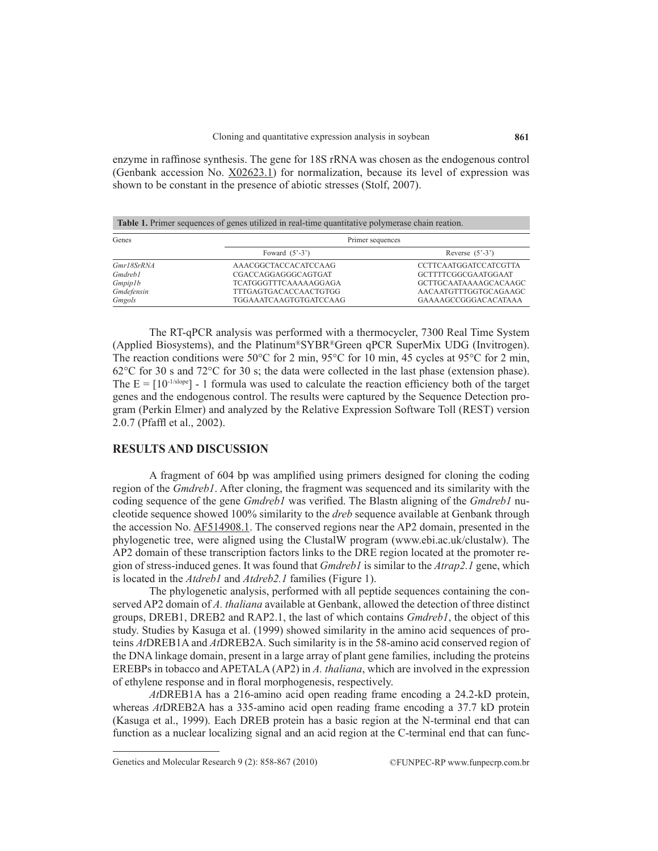enzyme in raffinose synthesis. The gene for 18S rRNA was chosen as the endogenous control (Genbank accession No. X02623.1) for normalization, because its level of expression was shown to be constant in the presence of abiotic stresses (Stolf, 2007).

| <b>Table 1.</b> Primer sequences of genes utilized in real-time quantitative polymerase chain reation. |                                |                                 |  |  |  |  |  |
|--------------------------------------------------------------------------------------------------------|--------------------------------|---------------------------------|--|--|--|--|--|
| Genes                                                                                                  | Primer sequences               |                                 |  |  |  |  |  |
|                                                                                                        | Foward $(5^{\circ}-3^{\circ})$ | Reverse $(5^{\circ}-3^{\circ})$ |  |  |  |  |  |
| Gmr18SrRNA                                                                                             | AAACGGCTACCACATCCAAG           | <b>CCTTCAATGGATCCATCGTTA</b>    |  |  |  |  |  |
| <b>Gmdreh1</b>                                                                                         | CGACCAGGAGGGCAGTGAT            | GCTTTTCGGCGAATGGAAT             |  |  |  |  |  |
| Gmpip1b                                                                                                | <b>TCATGGGTTTCAAAAAGGAGA</b>   | <b>GCTTGCAATAAAAGCACAAGC</b>    |  |  |  |  |  |
| Gmdefensin                                                                                             | TTTGAGTGACACCAACTGTGG          | AACAATGTTTGGTGCAGAAGC           |  |  |  |  |  |
| Gmgols                                                                                                 | TGGAAATCAAGTGTGATCCAAG         | GAAAAGCCGGGACACATAAA            |  |  |  |  |  |

The RT-qPCR analysis was performed with a thermocycler, 7300 Real Time System (Applied Biosystems), and the Platinum®SYBR®Green qPCR SuperMix UDG (Invitrogen). The reaction conditions were 50 $^{\circ}$ C for 2 min, 95 $^{\circ}$ C for 10 min, 45 cycles at 95 $^{\circ}$ C for 2 min,  $62^{\circ}$ C for 30 s and  $72^{\circ}$ C for 30 s; the data were collected in the last phase (extension phase). The  $E = [10^{-1/slope}]$  - 1 formula was used to calculate the reaction efficiency both of the target genes and the endogenous control. The results were captured by the Sequence Detection program (Perkin Elmer) and analyzed by the Relative Expression Software Toll (REST) version 2.0.7 (Pfaffl et al., 2002).

# **RESULTS AND DISCUSSION**

A fragment of 604 bp was amplified using primers designed for cloning the coding region of the *Gmdreb1*. After cloning, the fragment was sequenced and its similarity with the coding sequence of the gene *Gmdreb1* was verified. The Blastn aligning of the *Gmdreb1* nucleotide sequence showed 100% similarity to the *dreb* sequence available at Genbank through the accession No. AF514908.1. The conserved regions near the AP2 domain, presented in the phylogenetic tree, were aligned using the ClustalW program (www.ebi.ac.uk/clustalw). The AP2 domain of these transcription factors links to the DRE region located at the promoter region of stress-induced genes. It was found that *Gmdreb1* is similar to the *Atrap2.1* gene, which is located in the *Atdreb1* and *Atdreb2.1* families (Figure 1).

The phylogenetic analysis, performed with all peptide sequences containing the conserved AP2 domain of *A. thaliana* available at Genbank, allowed the detection of three distinct groups, DREB1, DREB2 and RAP2.1, the last of which contains *Gmdreb1*, the object of this study. Studies by Kasuga et al. (1999) showed similarity in the amino acid sequences of proteins *At*DREB1A and *At*DREB2A. Such similarity is in the 58-amino acid conserved region of the DNA linkage domain, present in a large array of plant gene families, including the proteins EREBPs in tobacco and APETALA (AP2) in *A. thaliana*, which are involved in the expression of ethylene response and in floral morphogenesis, respectively.

*At*DREB1A has a 216-amino acid open reading frame encoding a 24.2-kD protein, whereas *At*DREB2A has a 335-amino acid open reading frame encoding a 37.7 kD protein (Kasuga et al., 1999). Each DREB protein has a basic region at the N-terminal end that can function as a nuclear localizing signal and an acid region at the C-terminal end that can func-

Genetics and Molecular Research 9 (2): 858-867 (2010) ©FUNPEC-RP www.funpecrp.com.br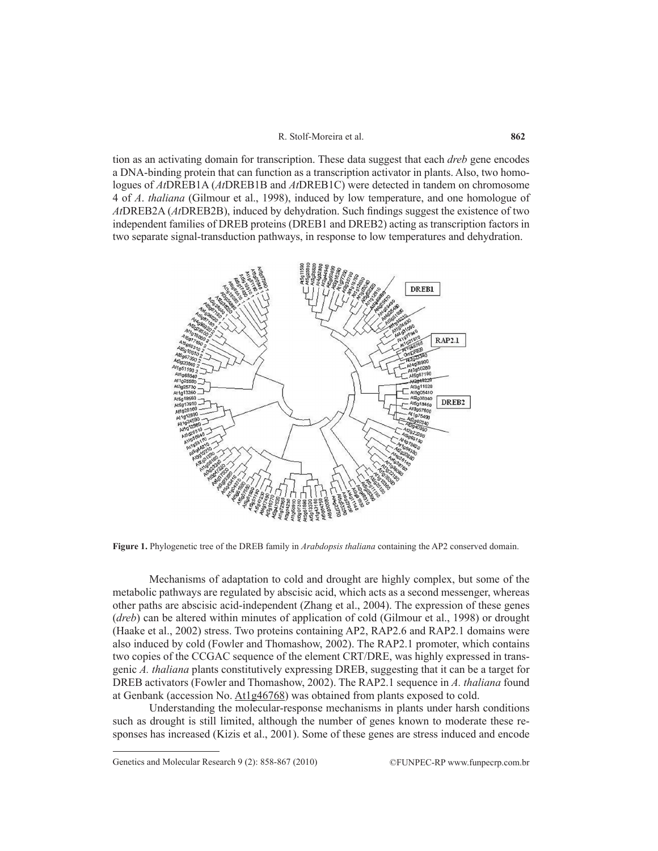#### R. Stolf-Moreira et al.

tion as an activating domain for transcription. These data suggest that each *dreb* gene encodes a DNA-binding protein that can function as a transcription activator in plants. Also, two homologues of *At*DREB1A (*At*DREB1B and *At*DREB1C) were detected in tandem on chromosome 4 of *A*. *thaliana* (Gilmour et al., 1998), induced by low temperature, and one homologue of *At*DREB2A (*At*DREB2B), induced by dehydration. Such findings suggest the existence of two independent families of DREB proteins (DREB1 and DREB2) acting as transcription factors in two separate signal-transduction pathways, in response to low temperatures and dehydration.



**Figure 1.** Phylogenetic tree of the DREB family in *Arabdopsis thaliana* containing the AP2 conserved domain.

Mechanisms of adaptation to cold and drought are highly complex, but some of the metabolic pathways are regulated by abscisic acid, which acts as a second messenger, whereas other paths are abscisic acid-independent (Zhang et al., 2004). The expression of these genes (*dreb*) can be altered within minutes of application of cold (Gilmour et al., 1998) or drought (Haake et al., 2002) stress. Two proteins containing AP2, RAP2.6 and RAP2.1 domains were also induced by cold (Fowler and Thomashow, 2002). The RAP2.1 promoter, which contains two copies of the CCGAC sequence of the element CRT/DRE, was highly expressed in transgenic *A. thaliana* plants constitutively expressing DREB, suggesting that it can be a target for DREB activators (Fowler and Thomashow, 2002). The RAP2.1 sequence in *A. thaliana* found at Genbank (accession No. At1g46768) was obtained from plants exposed to cold.

Understanding the molecular-response mechanisms in plants under harsh conditions such as drought is still limited, although the number of genes known to moderate these responses has increased (Kizis et al., 2001). Some of these genes are stress induced and encode

Genetics and Molecular Research 9 (2): 858-867 (2010) ©FUNPEC-RP www.funpecrp.com.br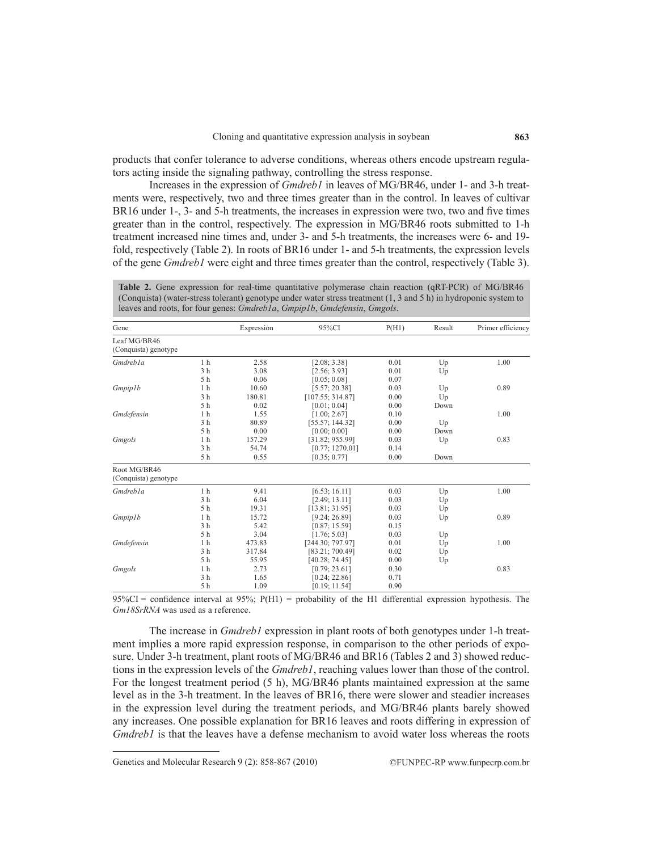products that confer tolerance to adverse conditions, whereas others encode upstream regulators acting inside the signaling pathway, controlling the stress response.

Increases in the expression of *Gmdreb1* in leaves of MG/BR46, under 1- and 3-h treatments were, respectively, two and three times greater than in the control. In leaves of cultivar BR16 under 1-, 3- and 5-h treatments, the increases in expression were two, two and five times greater than in the control, respectively. The expression in MG/BR46 roots submitted to 1-h treatment increased nine times and, under 3- and 5-h treatments, the increases were 6- and 19 fold, respectively (Table 2). In roots of BR16 under 1- and 5-h treatments, the expression levels of the gene *Gmdreb1* were eight and three times greater than the control, respectively (Table 3).

**Table 2.** Gene expression for real-time quantitative polymerase chain reaction (qRT-PCR) of MG/BR46 (Conquista) (water-stress tolerant) genotype under water stress treatment (1, 3 and 5 h) in hydroponic system to leaves and roots, for four genes: *Gmdreb1a*, *Gmpip1b*, *Gmdefensin*, *Gmgols*.

| Gene                                 |                | Expression | 95%CI            | P(H1) | Result | Primer efficiency |
|--------------------------------------|----------------|------------|------------------|-------|--------|-------------------|
| Leaf MG/BR46<br>(Conquista) genotype |                |            |                  |       |        |                   |
| Gmdreb <sub>la</sub>                 | 1 <sub>h</sub> | 2.58       | [2.08; 3.38]     | 0.01  | Up     | 1.00              |
|                                      | 3 <sub>h</sub> | 3.08       | [2.56; 3.93]     | 0.01  | Up     |                   |
|                                      | 5 h            | 0.06       | [0.05; 0.08]     | 0.07  |        |                   |
| Gmpip1b                              | 1 <sub>h</sub> | 10.60      | [5.57; 20.38]    | 0.03  | Up     | 0.89              |
|                                      | 3 <sub>h</sub> | 180.81     | [107.55; 314.87] | 0.00  | Up     |                   |
|                                      | 5 h            | 0.02       | [0.01; 0.04]     | 0.00  | Down   |                   |
| Gmdefensin                           | 1 <sub>h</sub> | 1.55       | [1.00; 2.67]     | 0.10  |        | 1.00              |
|                                      | 3 <sub>h</sub> | 80.89      | [55.57; 144.32]  | 0.00  | Up     |                   |
|                                      | 5 h            | 0.00       | [0.00; 0.00]     | 0.00  | Down   |                   |
| Gmgols                               | 1 <sub>h</sub> | 157.29     | [31.82; 955.99]  | 0.03  | Up     | 0.83              |
|                                      | 3 <sub>h</sub> | 54.74      | [0.77; 1270.01]  | 0.14  |        |                   |
|                                      | 5 h            | 0.55       | [0.35:0.77]      | 0.00  | Down   |                   |
| Root MG/BR46<br>(Conquista) genotype |                |            |                  |       |        |                   |
| Gmdreb <sub>la</sub>                 | 1 <sub>h</sub> | 9.41       | [6.53; 16.11]    | 0.03  | Up     | 1.00              |
|                                      | 3 <sub>h</sub> | 6.04       | [2.49; 13.11]    | 0.03  | Up     |                   |
|                                      | 5 h            | 19.31      | [13.81; 31.95]   | 0.03  | Up     |                   |
| Gmpip1b                              | 1 <sub>h</sub> | 15.72      | [9.24; 26.89]    | 0.03  | Up     | 0.89              |
|                                      | 3 <sub>h</sub> | 5.42       | [0.87; 15.59]    | 0.15  |        |                   |
|                                      | 5 h            | 3.04       | [1.76; 5.03]     | 0.03  | Up     |                   |
| Gmdefensin                           | 1 <sub>h</sub> | 473.83     | [244.30; 797.97] | 0.01  | Up     | 1.00              |
|                                      | 3 <sub>h</sub> | 317.84     | [83.21; 700.49]  | 0.02  | Up     |                   |
|                                      | 5 h            | 55.95      | [40.28; 74.45]   | 0.00  | Up     |                   |
| Gmgols                               | 1 <sub>h</sub> | 2.73       | [0.79; 23.61]    | 0.30  |        | 0.83              |
|                                      | 3 <sub>h</sub> | 1.65       | [0.24; 22.86]    | 0.71  |        |                   |
|                                      | 5 h            | 1.09       | [0.19; 11.54]    | 0.90  |        |                   |

 $95\%CI =$  confidence interval at  $95\%$ ;  $P(H1) =$  probability of the H1 differential expression hypothesis. The *Gm18SrRNA* was used as a reference.

The increase in *Gmdreb1* expression in plant roots of both genotypes under 1-h treatment implies a more rapid expression response, in comparison to the other periods of exposure. Under 3-h treatment, plant roots of MG/BR46 and BR16 (Tables 2 and 3) showed reductions in the expression levels of the *Gmdreb1*, reaching values lower than those of the control. For the longest treatment period (5 h), MG/BR46 plants maintained expression at the same level as in the 3-h treatment. In the leaves of BR16, there were slower and steadier increases in the expression level during the treatment periods, and MG/BR46 plants barely showed any increases. One possible explanation for BR16 leaves and roots differing in expression of *Gmdreb1* is that the leaves have a defense mechanism to avoid water loss whereas the roots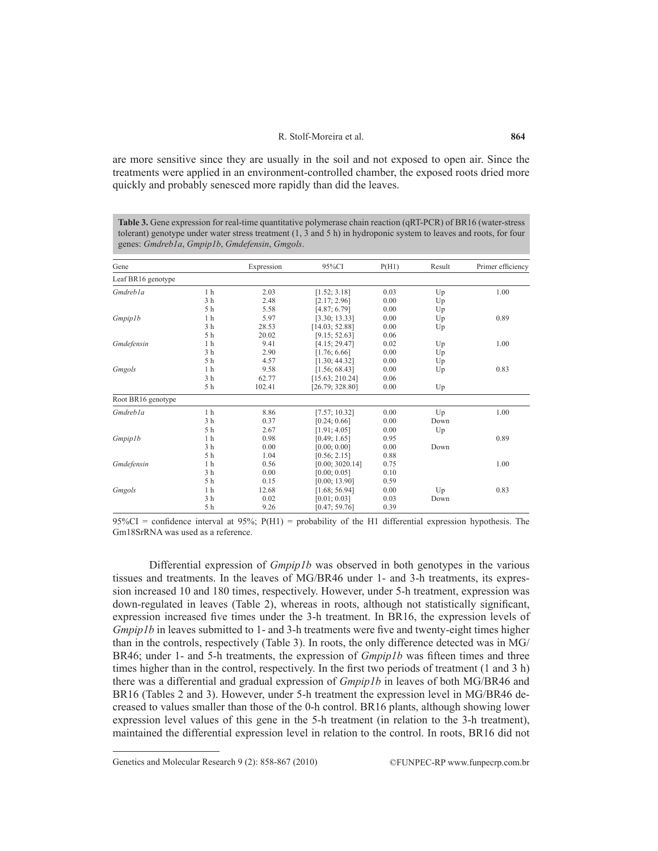#### R. Stolf-Moreira et al.

are more sensitive since they are usually in the soil and not exposed to open air. Since the treatments were applied in an environment-controlled chamber, the exposed roots dried more quickly and probably senesced more rapidly than did the leaves.

**Table 3.** Gene expression for real-time quantitative polymerase chain reaction (qRT-PCR) of BR16 (water-stress tolerant) genotype under water stress treatment (1, 3 and 5 h) in hydroponic system to leaves and roots, for four genes: *Gmdreb1a*, *Gmpip1b*, *Gmdefensin*, *Gmgols*.

| Gene                 |                | Expression | 95%CI           | P(H1) | Result | Primer efficiency |
|----------------------|----------------|------------|-----------------|-------|--------|-------------------|
| Leaf BR16 genotype   |                |            |                 |       |        |                   |
| Gmdreb <sub>la</sub> | 1 <sub>h</sub> | 2.03       | [1.52; 3.18]    | 0.03  | Up     | 1.00              |
|                      | 3 <sub>h</sub> | 2.48       | [2.17; 2.96]    | 0.00  | Up     |                   |
|                      | 5 h            | 5.58       | [4.87; 6.79]    | 0.00  | Up     |                   |
| <i>Gmpip1b</i>       | 1 <sub>h</sub> | 5.97       | [3.30; 13.33]   | 0.00  | Up     | 0.89              |
|                      | 3 <sub>h</sub> | 28.53      | [14.03; 52.88]  | 0.00  | Up     |                   |
|                      | 5 h            | 20.02      | [9.15; 52.63]   | 0.06  |        |                   |
| Gmdefensin           | 1 <sub>h</sub> | 9.41       | [4.15; 29.47]   | 0.02  | Up     | 1.00              |
|                      | 3 <sub>h</sub> | 2.90       | [1.76; 6.66]    | 0.00  | Up     |                   |
|                      | 5 h            | 4.57       | [1.30; 44.32]   | 0.00  | Up     |                   |
| Gmgols               | 1 <sub>h</sub> | 9.58       | [1.56; 68.43]   | 0.00  | Up     | 0.83              |
|                      | 3 <sub>h</sub> | 62.77      | [15.63; 210.24] | 0.06  |        |                   |
|                      | 5 h            | 102.41     | [26.79; 328.80] | 0.00  | Up     |                   |
| Root BR16 genotype   |                |            |                 |       |        |                   |
| Gmdreb <sub>la</sub> | 1 <sub>h</sub> | 8.86       | [7.57; 10.32]   | 0.00  | Up     | 1.00              |
|                      | 3 <sub>h</sub> | 0.37       | [0.24; 0.66]    | 0.00  | Down   |                   |
|                      | 5 h            | 2.67       | [1.91; 4.05]    | 0.00  | Up     |                   |
| Gmpip1b              | 1 <sub>h</sub> | 0.98       | [0.49; 1.65]    | 0.95  |        | 0.89              |
|                      | 3 <sub>h</sub> | 0.00       | [0.00; 0.00]    | 0.00  | Down   |                   |
|                      | 5 h            | 1.04       | [0.56; 2.15]    | 0.88  |        |                   |
| Gmdefensin           | 1 <sub>h</sub> | 0.56       | [0.00; 3020.14] | 0.75  |        | 1.00              |
|                      | 3 <sub>h</sub> | 0.00       | [0.00; 0.05]    | 0.10  |        |                   |
|                      | 5 h            | 0.15       | [0.00; 13.90]   | 0.59  |        |                   |
| Gmgols               | 1 <sub>h</sub> | 12.68      | [1.68; 56.94]   | 0.00  | Up     | 0.83              |
|                      | 3 <sub>h</sub> | 0.02       | [0.01:0.03]     | 0.03  | Down   |                   |
|                      | 5 h            | 9.26       | [0.47:59.76]    | 0.39  |        |                   |

 $95\%CI =$  confidence interval at  $95\%$ ;  $P(H1) =$  probability of the H1 differential expression hypothesis. The Gm18SrRNA was used as a reference.

Differential expression of *Gmpip1b* was observed in both genotypes in the various tissues and treatments. In the leaves of MG/BR46 under 1- and 3-h treatments, its expression increased 10 and 180 times, respectively. However, under 5-h treatment, expression was down-regulated in leaves (Table 2), whereas in roots, although not statistically significant, expression increased five times under the 3-h treatment. In BR16, the expression levels of *Gmpip1b* in leaves submitted to 1- and 3-h treatments were five and twenty-eight times higher than in the controls, respectively (Table 3). In roots, the only difference detected was in MG/ BR46; under 1- and 5-h treatments, the expression of *Gmpip1b* was fifteen times and three times higher than in the control, respectively. In the first two periods of treatment (1 and 3 h) there was a differential and gradual expression of *Gmpip1b* in leaves of both MG/BR46 and BR16 (Tables 2 and 3). However, under 5-h treatment the expression level in MG/BR46 decreased to values smaller than those of the 0-h control. BR16 plants, although showing lower expression level values of this gene in the 5-h treatment (in relation to the 3-h treatment), maintained the differential expression level in relation to the control. In roots, BR16 did not

Genetics and Molecular Research 9 (2): 858-867 (2010) ©FUNPEC-RP www.funpecrp.com.br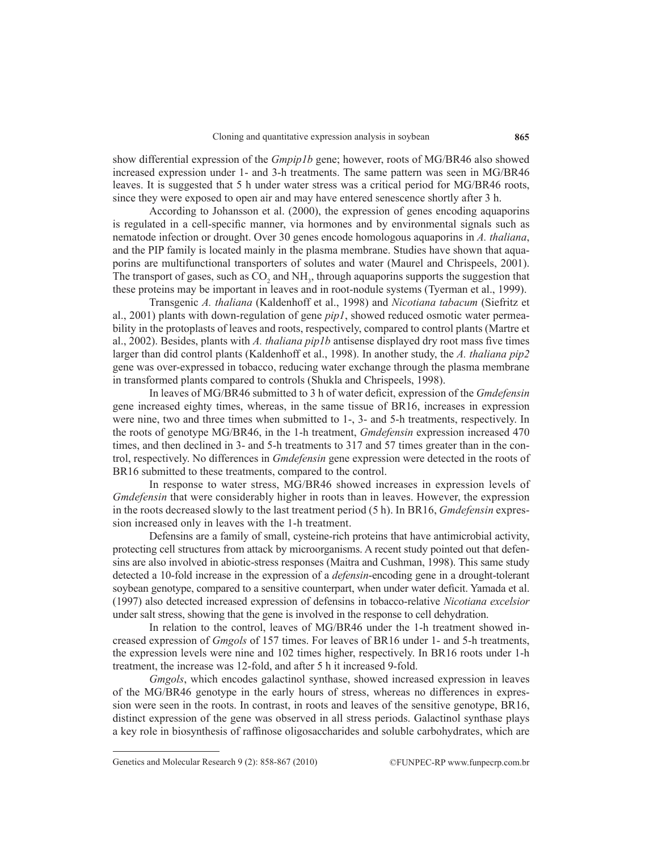show differential expression of the *Gmpip1b* gene; however, roots of MG/BR46 also showed increased expression under 1- and 3-h treatments. The same pattern was seen in MG/BR46 leaves. It is suggested that 5 h under water stress was a critical period for MG/BR46 roots, since they were exposed to open air and may have entered senescence shortly after 3 h.

According to Johansson et al. (2000), the expression of genes encoding aquaporins is regulated in a cell-specific manner, via hormones and by environmental signals such as nematode infection or drought. Over 30 genes encode homologous aquaporins in *A. thaliana*, and the PIP family is located mainly in the plasma membrane. Studies have shown that aquaporins are multifunctional transporters of solutes and water (Maurel and Chrispeels, 2001). The transport of gases, such as  $CO_2$  and  $NH_3$ , through aquaporins supports the suggestion that these proteins may be important in leaves and in root-nodule systems (Tyerman et al., 1999).

Transgenic *A. thaliana* (Kaldenhoff et al., 1998) and *Nicotiana tabacum* (Siefritz et al., 2001) plants with down-regulation of gene *pip1*, showed reduced osmotic water permeability in the protoplasts of leaves and roots, respectively, compared to control plants (Martre et al., 2002). Besides, plants with *A. thaliana pip1b* antisense displayed dry root mass five times larger than did control plants (Kaldenhoff et al., 1998). In another study, the *A. thaliana pip2* gene was over-expressed in tobacco, reducing water exchange through the plasma membrane in transformed plants compared to controls (Shukla and Chrispeels, 1998).

In leaves of MG/BR46 submitted to 3 h of water deficit, expression of the *Gmdefensin* gene increased eighty times, whereas, in the same tissue of BR16, increases in expression were nine, two and three times when submitted to 1-, 3- and 5-h treatments, respectively. In the roots of genotype MG/BR46, in the 1-h treatment, *Gmdefensin* expression increased 470 times, and then declined in 3- and 5-h treatments to 317 and 57 times greater than in the control, respectively. No differences in *Gmdefensin* gene expression were detected in the roots of BR16 submitted to these treatments, compared to the control.

In response to water stress, MG/BR46 showed increases in expression levels of *Gmdefensin* that were considerably higher in roots than in leaves. However, the expression in the roots decreased slowly to the last treatment period (5 h). In BR16, *Gmdefensin* expression increased only in leaves with the 1-h treatment.

Defensins are a family of small, cysteine-rich proteins that have antimicrobial activity, protecting cell structures from attack by microorganisms. A recent study pointed out that defensins are also involved in abiotic-stress responses (Maitra and Cushman, 1998). This same study detected a 10-fold increase in the expression of a *defensin*-encoding gene in a drought-tolerant soybean genotype, compared to a sensitive counterpart, when under water deficit. Yamada et al. (1997) also detected increased expression of defensins in tobacco-relative *Nicotiana excelsior* under salt stress, showing that the gene is involved in the response to cell dehydration.

In relation to the control, leaves of MG/BR46 under the 1-h treatment showed increased expression of *Gmgols* of 157 times. For leaves of BR16 under 1- and 5-h treatments, the expression levels were nine and 102 times higher, respectively. In BR16 roots under 1-h treatment, the increase was 12-fold, and after 5 h it increased 9-fold.

*Gmgols*, which encodes galactinol synthase, showed increased expression in leaves of the MG/BR46 genotype in the early hours of stress, whereas no differences in expression were seen in the roots. In contrast, in roots and leaves of the sensitive genotype, BR16, distinct expression of the gene was observed in all stress periods. Galactinol synthase plays a key role in biosynthesis of raffinose oligosaccharides and soluble carbohydrates, which are

Genetics and Molecular Research 9 (2): 858-867 (2010) ©FUNPEC-RP www.funpecrp.com.br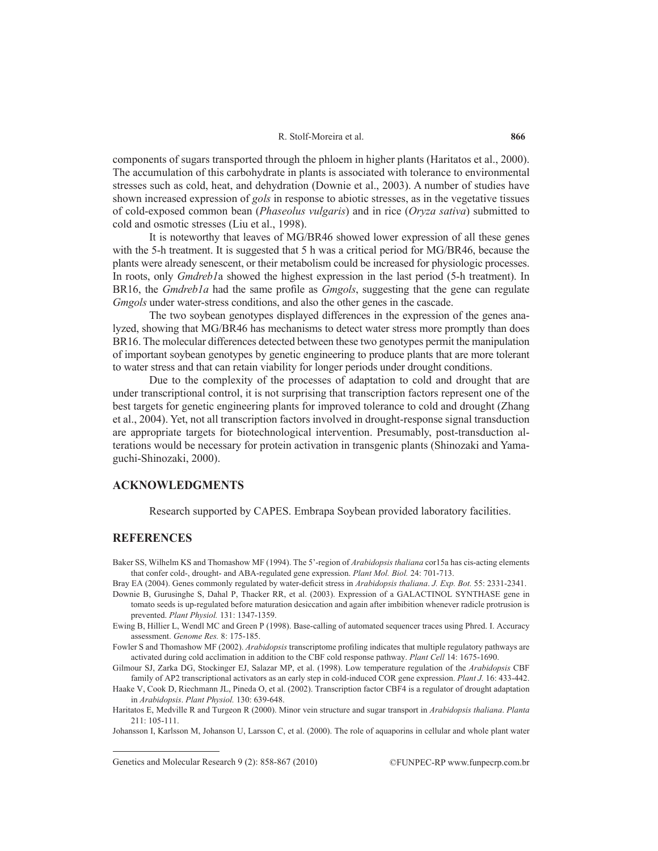#### R. Stolf-Moreira et al.

components of sugars transported through the phloem in higher plants (Haritatos et al., 2000). The accumulation of this carbohydrate in plants is associated with tolerance to environmental stresses such as cold, heat, and dehydration (Downie et al., 2003). A number of studies have shown increased expression of *gols* in response to abiotic stresses, as in the vegetative tissues of cold-exposed common bean (*Phaseolus vulgaris*) and in rice (*Oryza sativa*) submitted to cold and osmotic stresses (Liu et al., 1998).

It is noteworthy that leaves of MG/BR46 showed lower expression of all these genes with the 5-h treatment. It is suggested that 5 h was a critical period for MG/BR46, because the plants were already senescent, or their metabolism could be increased for physiologic processes. In roots, only *Gmdreb1*a showed the highest expression in the last period (5-h treatment). In BR16, the *Gmdreb1a* had the same profile as *Gmgols*, suggesting that the gene can regulate *Gmgols* under water-stress conditions, and also the other genes in the cascade.

The two soybean genotypes displayed differences in the expression of the genes analyzed, showing that MG/BR46 has mechanisms to detect water stress more promptly than does BR16. The molecular differences detected between these two genotypes permit the manipulation of important soybean genotypes by genetic engineering to produce plants that are more tolerant to water stress and that can retain viability for longer periods under drought conditions.

Due to the complexity of the processes of adaptation to cold and drought that are under transcriptional control, it is not surprising that transcription factors represent one of the best targets for genetic engineering plants for improved tolerance to cold and drought (Zhang et al., 2004). Yet, not all transcription factors involved in drought-response signal transduction are appropriate targets for biotechnological intervention. Presumably, post-transduction alterations would be necessary for protein activation in transgenic plants (Shinozaki and Yamaguchi-Shinozaki, 2000).

## **ACKNOWLEDGMENTS**

Research supported by CAPES. Embrapa Soybean provided laboratory facilities.

## **REFERENCES**

Baker SS, Wilhelm KS and Thomashow MF (1994). The 5'-region of *Arabidopsis thaliana* cor15a has cis-acting elements that confer cold-, drought- and ABA-regulated gene expression. *Plant Mol. Biol.* 24: 701-713.

Bray EA (2004). Genes commonly regulated by water-deficit stress in *Arabidopsis thaliana*. *J. Exp. Bot.* 55: 2331-2341.

Downie B, Gurusinghe S, Dahal P, Thacker RR, et al. (2003). Expression of a GALACTINOL SYNTHASE gene in tomato seeds is up-regulated before maturation desiccation and again after imbibition whenever radicle protrusion is prevented. *Plant Physiol.* 131: 1347-1359.

Fowler S and Thomashow MF (2002). *Arabidopsis* transcriptome profiling indicates that multiple regulatory pathways are activated during cold acclimation in addition to the CBF cold response pathway. *Plant Cell* 14: 1675-1690.

Gilmour SJ, Zarka DG, Stockinger EJ, Salazar MP, et al. (1998). Low temperature regulation of the *Arabidopsis* CBF family of AP2 transcriptional activators as an early step in cold-induced COR gene expression. *Plant J.* 16: 433-442.

Haake V, Cook D, Riechmann JL, Pineda O, et al. (2002). Transcription factor CBF4 is a regulator of drought adaptation in *Arabidopsis*. *Plant Physiol.* 130: 639-648.

Haritatos E, Medville R and Turgeon R (2000). Minor vein structure and sugar transport in *Arabidopsis thaliana*. *Planta* 211: 105-111.

Johansson I, Karlsson M, Johanson U, Larsson C, et al. (2000). The role of aquaporins in cellular and whole plant water

Ewing B, Hillier L, Wendl MC and Green P (1998). Base-calling of automated sequencer traces using Phred. I. Accuracy assessment. *Genome Res.* 8: 175-185.

Genetics and Molecular Research 9 (2): 858-867 (2010) ©FUNPEC-RP www.funpecrp.com.br